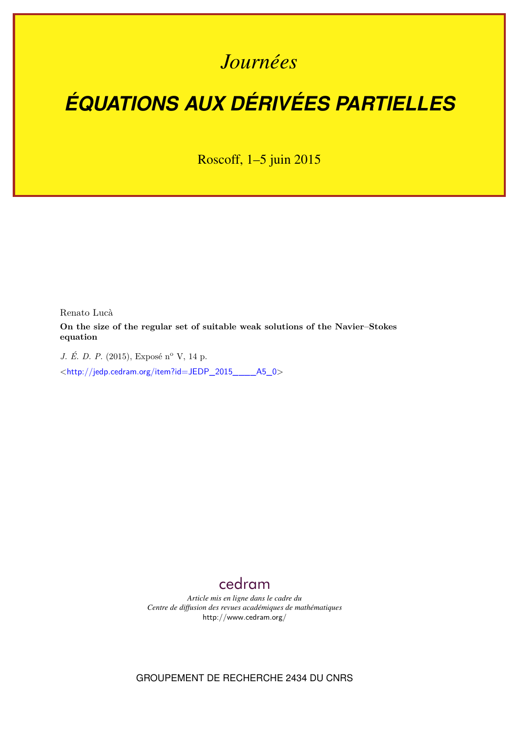## *Journées*

# *ÉQUATIONS AUX DÉRIVÉES PARTIELLES*

Roscoff, 1–5 juin 2015

Renato Lucà

**On the size of the regular set of suitable weak solutions of the Navier–Stokes equation**

*J. É. D. P.* (2015), Exposé n° V, 14 p.

<[http://jedp.cedram.org/item?id=JEDP\\_2015\\_\\_\\_\\_A5\\_0](http://jedp.cedram.org/item?id=JEDP_2015____A5_0)>

## [cedram](http://www.cedram.org/)

*Article mis en ligne dans le cadre du Centre de diffusion des revues académiques de mathématiques* <http://www.cedram.org/>

GROUPEMENT DE RECHERCHE 2434 DU CNRS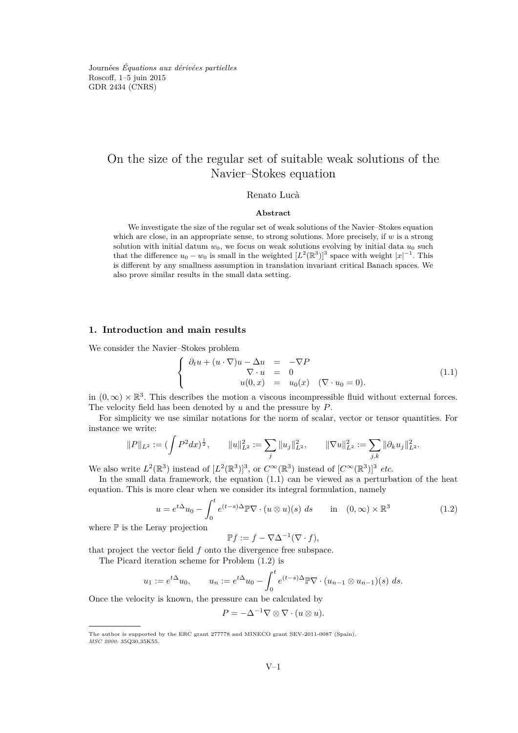Journées *Équations aux dérivées partielles* Roscoff, 1–5 juin 2015 GDR 2434 [\(CNRS\)](http://www.cnrs.fr)

### On the size of the regular set of suitable weak solutions of the Navier–Stokes equation

#### Renato Lucà

#### **Abstract**

We investigate the size of the regular set of weak solutions of the Navier–Stokes equation which are close, in an appropriate sense, to strong solutions. More precisely, if *w* is a strong solution with initial datum  $w_0$ , we focus on weak solutions evolving by initial data  $u_0$  such that the difference  $u_0 - w_0$  is small in the weighted  $[L^2(\mathbb{R}^3)]^3$  space with weight  $|x|^{-1}$ . This is different by any smallness assumption in translation invariant critical Banach spaces. We also prove similar results in the small data setting.

#### **1. Introduction and main results**

We consider the Navier–Stokes problem

<span id="page-1-0"></span>
$$
\begin{cases}\n\partial_t u + (u \cdot \nabla)u - \Delta u &= -\nabla P \\
\nabla \cdot u &= 0 \\
u(0, x) &= u_0(x) \quad (\nabla \cdot u_0 = 0).\n\end{cases}
$$
\n(1.1)

in  $(0, \infty) \times \mathbb{R}^3$ . This describes the motion a viscous incompressible fluid without external forces. The velocity field has been denoted by *u* and the pressure by *P*.

For simplicity we use similar notations for the norm of scalar, vector or tensor quantities. For instance we write:

$$
||P||_{L^2} := (\int P^2 dx)^{\frac{1}{2}}, \qquad ||u||_{L^2}^2 := \sum_j ||u_j||_{L^2}^2, \qquad ||\nabla u||_{L^2}^2 := \sum_{j,k} ||\partial_k u_j||_{L^2}^2.
$$

We also write  $L^2(\mathbb{R}^3)$  instead of  $[L^2(\mathbb{R}^3)]^3$ , or  $C^{\infty}(\mathbb{R}^3)$  instead of  $[C^{\infty}(\mathbb{R}^3)]^3$  *etc.* 

In the small data framework, the equation [\(1.1\)](#page-1-0) can be viewed as a perturbation of the heat equation. This is more clear when we consider its integral formulation, namely

<span id="page-1-1"></span>
$$
u = e^{t\Delta}u_0 - \int_0^t e^{(t-s)\Delta} \mathbb{P} \nabla \cdot (u \otimes u)(s) ds \quad \text{in} \quad (0, \infty) \times \mathbb{R}^3 \tag{1.2}
$$

where  $\mathbb P$  is the Leray projection

$$
\mathbb{P}f := f - \nabla \Delta^{-1}(\nabla \cdot f),
$$

that project the vector field *f* onto the divergence free subspace.

The Picard iteration scheme for Problem [\(1.2\)](#page-1-1) is

$$
u_1 := e^{t\Delta}u_0, \qquad u_n := e^{t\Delta}u_0 - \int_0^t e^{(t-s)\Delta} \mathbb{P} \nabla \cdot (u_{n-1} \otimes u_{n-1})(s) \; ds.
$$

Once the velocity is known, the pressure can be calculated by

$$
P = -\Delta^{-1} \nabla \otimes \nabla \cdot (u \otimes u).
$$

The author is supported by the ERC grant 277778 and MINECO grant SEV-2011-0087 (Spain). *MSC 2000:* 35Q30,35K55.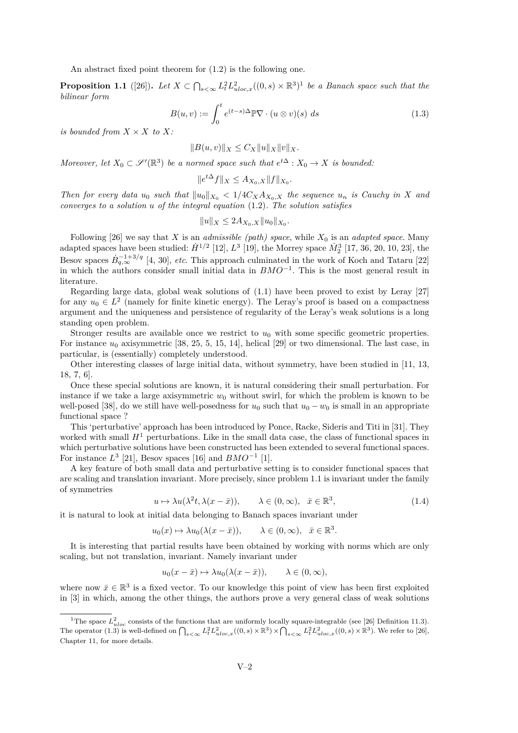An abstract fixed point theorem for [\(1.2\)](#page-1-1) is the following one.

**Proposition 1.1** ([\[26\]](#page-14-0)). Let  $X \subset \bigcap_{s<\infty} L^2_t L^2_{uloc,x}((0,s) \times \mathbb{R}^3)^1$  be a Banach space such that the *bilinear form*

<span id="page-2-0"></span>
$$
B(u, v) := \int_0^t e^{(t-s)\Delta} \mathbb{P} \nabla \cdot (u \otimes v)(s) \ ds \tag{1.3}
$$

*is bounded from*  $X \times X$  *to*  $X$ *:* 

$$
||B(u, v)||_X \leq C_X ||u||_X ||v||_X.
$$

*Moreover, let*  $X_0 \subset \mathscr{S}'(\mathbb{R}^3)$  *be a normed space such that*  $e^{t\Delta}: X_0 \to X$  *is bounded:* 

$$
||e^{t\Delta}f||_X \le A_{X_0,X}||f||_{X_0}.
$$

*Then for every data*  $u_0$  *such that*  $||u_0||_{X_0} < 1/4C_X A_{X_0,X}$  *the sequence*  $u_n$  *is Cauchy in X and converges to a solution u of the integral equation* [\(1.2\)](#page-1-1)*. The solution satisfies*

$$
||u||_X \le 2A_{X_0,X} ||u_0||_{X_0}.
$$

Following  $[26]$  we say that *X* is an *admissible (path) space*, while  $X_0$  is an *adapted space*. Many adapted spaces have been studied:  $\dot{H}^{1/2}$  [\[12\]](#page-13-0),  $L^3$  [\[19\]](#page-13-1), the Morrey space  $\dot{M}_2^3$  [\[17,](#page-13-2) [36,](#page-14-1) [20,](#page-13-3) [10,](#page-13-4) [23\]](#page-14-2), the Besov spaces  $\dot{B}_{q,\infty}^{-1+3/q}$  [\[4,](#page-13-5) [30\]](#page-14-3), *etc*. This approach culminated in the work of Koch and Tataru [\[22\]](#page-14-4) in which the authors consider small initial data in *BMO*−<sup>1</sup> . This is the most general result in literature.

Regarding large data, global weak solutions of [\(1.1\)](#page-1-0) have been proved to exist by Leray [\[27\]](#page-14-5) for any  $u_0 \in L^2$  (namely for finite kinetic energy). The Leray's proof is based on a compactness argument and the uniqueness and persistence of regularity of the Leray's weak solutions is a long standing open problem.

Stronger results are available once we restrict to  $u_0$  with some specific geometric properties. For instance *u*<sup>0</sup> axisymmetric [\[38,](#page-14-6) [25,](#page-14-7) [5,](#page-13-6) [15,](#page-13-7) [14\]](#page-13-8), helical [\[29\]](#page-14-8) or two dimensional. The last case, in particular, is (essentially) completely understood.

Other interesting classes of large initial data, without symmetry, have been studied in [\[11,](#page-13-9) [13,](#page-13-10) [18,](#page-13-11) [7,](#page-13-12) [6\]](#page-13-13).

Once these special solutions are known, it is natural considering their small perturbation. For instance if we take a large axisymmetric  $w_0$  without swirl, for which the problem is known to be well-posed [\[38\]](#page-14-6), do we still have well-posedness for  $u_0$  such that  $u_0 - w_0$  is small in an appropriate functional space ?

This 'perturbative' approach has been introduced by Ponce, Racke, Sideris and Titi in [\[31\]](#page-14-9). They worked with small  $H<sup>1</sup>$  perturbations. Like in the small data case, the class of functional spaces in which perturbative solutions have been constructed has been extended to several functional spaces. For instance  $L^3$  [\[21\]](#page-14-10), Besov spaces [\[16\]](#page-13-14) and  $BMO^{-1}$  [\[1\]](#page-13-15).

A key feature of both small data and perturbative setting is to consider functional spaces that are scaling and translation invariant. More precisely, since problem [1.1](#page-1-0) is invariant under the family of symmetries

$$
u \mapsto \lambda u(\lambda^2 t, \lambda(x - \bar{x})), \qquad \lambda \in (0, \infty), \quad \bar{x} \in \mathbb{R}^3,
$$
\n
$$
(1.4)
$$

it is natural to look at initial data belonging to Banach spaces invariant under

$$
u_0(x) \mapsto \lambda u_0(\lambda(x - \bar{x})), \qquad \lambda \in (0, \infty), \ \ \bar{x} \in \mathbb{R}^3.
$$

It is interesting that partial results have been obtained by working with norms which are only scaling, but not translation, invariant. Namely invariant under

$$
u_0(x - \bar{x}) \mapsto \lambda u_0(\lambda(x - \bar{x})), \qquad \lambda \in (0, \infty),
$$

where now  $\bar{x} \in \mathbb{R}^3$  is a fixed vector. To our knowledge this point of view has been first exploited in [\[3\]](#page-13-16) in which, among the other things, the authors prove a very general class of weak solutions

<sup>&</sup>lt;sup>1</sup>The space  $L_{uloc}^2$  consists of the functions that are uniformly locally square-integrable (see [\[26\]](#page-14-0) Definition 11.3). The operator [\(1.3\)](#page-2-0) is well-defined on  $\bigcap_{s<\infty} L^2_t L^2_{uloc,x}((0,s)\times\mathbb{R}^3)\times\bigcap_{s<\infty} L^2_t L^2_{uloc,x}((0,s)\times\mathbb{R}^3)$ . We refer to [\[26\]](#page-14-0), Chapter 11, for more details.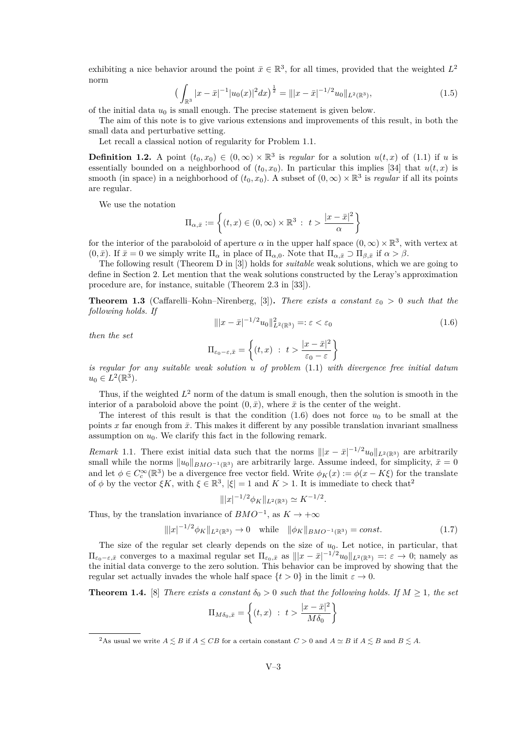exhibiting a nice behavior around the point  $\bar{x} \in \mathbb{R}^3$ , for all times, provided that the weighted  $L^2$ norm

$$
\left(\int_{\mathbb{R}^3} |x - \bar{x}|^{-1} |u_0(x)|^2 dx\right)^{\frac{1}{2}} = \left|\left| |x - \bar{x}|^{-1/2} u_0 \right|\right|_{L^2(\mathbb{R}^3)},\tag{1.5}
$$

of the initial data  $u_0$  is small enough. The precise statement is given below.

The aim of this note is to give various extensions and improvements of this result, in both the small data and perturbative setting.

Let recall a classical notion of regularity for Problem [1.1.](#page-1-0)

**Definition 1.2.** A point  $(t_0, x_0) \in (0, \infty) \times \mathbb{R}^3$  is *regular* for a solution  $u(t, x)$  of [\(1.1\)](#page-1-0) if *u* is essentially bounded on a neighborhood of  $(t_0, x_0)$ . In particular this implies [\[34\]](#page-14-11) that  $u(t, x)$  is smooth (in space) in a neighborhood of  $(t_0, x_0)$ . A subset of  $(0, \infty) \times \mathbb{R}^3$  is *regular* if all its points are regular.

We use the notation

$$
\Pi_{\alpha,\bar{x}} := \left\{ (t,x) \in (0,\infty) \times \mathbb{R}^3 : t > \frac{|x - \bar{x}|^2}{\alpha} \right\}
$$

for the interior of the paraboloid of aperture  $\alpha$  in the upper half space  $(0, \infty) \times \mathbb{R}^3$ , with vertex at  $(0, \bar{x})$ . If  $\bar{x} = 0$  we simply write  $\Pi_{\alpha}$  in place of  $\Pi_{\alpha,0}$ . Note that  $\Pi_{\alpha,\bar{x}} \supset \Pi_{\beta,\bar{x}}$  if  $\alpha > \beta$ .

The following result (Theorem D in [\[3\]](#page-13-16)) holds for *suitable* weak solutions, which we are going to define in Section [2.](#page-5-0) Let mention that the weak solutions constructed by the Leray's approximation procedure are, for instance, suitable (Theorem 2.3 in [\[33\]](#page-14-12)).

<span id="page-3-2"></span>**Theorem 1.3** (Caffarelli–Kohn–Nirenberg, [\[3\]](#page-13-16)). *There exists a constant*  $\varepsilon_0 > 0$  *such that the following holds. If*

<span id="page-3-0"></span>
$$
\| |x - \bar{x}|^{-1/2} u_0 \|_{L^2(\mathbb{R}^3)}^2 =: \varepsilon < \varepsilon_0 \tag{1.6}
$$

*then the set*

$$
\Pi_{\varepsilon_0 - \varepsilon, \bar{x}} = \left\{ (t, x) : t > \frac{|x - \bar{x}|^2}{\varepsilon_0 - \varepsilon} \right\}
$$

*is regular for any suitable weak solution u of problem* [\(1.1\)](#page-1-0) *with divergence free initial datum*  $u_0 \in L^2(\mathbb{R}^3)$ .

Thus, if the weighted  $L^2$  norm of the datum is small enough, then the solution is smooth in the interior of a paraboloid above the point  $(0, \bar{x})$ , where  $\bar{x}$  is the center of the weight.

The interest of this result is that the condition  $(1.6)$  does not force  $u_0$  to be small at the points x far enough from  $\bar{x}$ . This makes it different by any possible translation invariant smallness assumption on  $u_0$ . We clarify this fact in the following remark.

<span id="page-3-1"></span>*Remark* 1.1. There exist initial data such that the norms  $||x - \bar{x}|^{-1/2}u_0||_{L^2(\mathbb{R}^3)}$  are arbitrarily small while the norms  $||u_0||_{BMO^{-1}(\mathbb{R}^3)}$  are arbitrarily large. Assume indeed, for simplicity,  $\bar{x}=0$ and let  $\phi \in C_c^{\infty}(\mathbb{R}^3)$  be a divergence free vector field. Write  $\phi_K(x) := \phi(x - K\xi)$  for the translate of  $\phi$  by the vector  $\xi K$ , with  $\xi \in \mathbb{R}^3$ ,  $|\xi| = 1$  and  $K > 1$ . It is immediate to check that<sup>2</sup>

$$
|||x|^{-1/2}\phi_K||_{L^2(\mathbb{R}^3)} \simeq K^{-1/2}.
$$

Thus, by the translation invariance of  $BMO^{-1}$ , as  $K \to +\infty$ 

$$
|||x|^{-1/2}\phi_K||_{L^2(\mathbb{R}^3)} \to 0 \quad \text{while} \quad ||\phi_K||_{BMO^{-1}(\mathbb{R}^3)} = const. \tag{1.7}
$$

The size of the regular set clearly depends on the size of *u*0. Let notice, in particular, that  $\Pi_{\varepsilon_0-\varepsilon,\bar{x}}$  converges to a maximal regular set  $\Pi_{\varepsilon_0,\bar{x}}$  as  $|||x-\bar{x}|^{-1/2}u_0||_{L^2(\mathbb{R}^3)} =: \varepsilon \to 0$ ; namely as the initial data converge to the zero solution. This behavior can be improved by showing that the regular set actually invades the whole half space  $\{t > 0\}$  in the limit  $\varepsilon \to 0$ .

<span id="page-3-3"></span>**Theorem 1.4.** [\[8\]](#page-13-17) *There exists a constant*  $\delta_0 > 0$  *such that the following holds. If*  $M \geq 1$ *, the set* 

$$
\Pi_{M\delta_0,\bar{x}} = \left\{ (t,x) \ : \ t > \frac{|x-\bar{x}|^2}{M\delta_0} \right\}
$$

<sup>&</sup>lt;sup>2</sup>As usual we write  $A \leq B$  if  $A \leq CB$  for a certain constant  $C > 0$  and  $A \simeq B$  if  $A \leq B$  and  $B \leq A$ .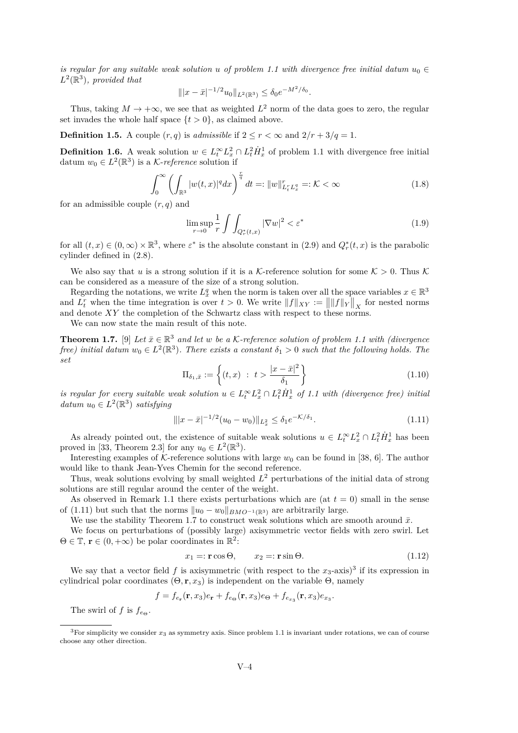*is regular for any suitable weak solution u of problem* [1.1](#page-1-0) *with divergence free initial datum*  $u_0 \in$  $L^2(\mathbb{R}^3)$ , provided that

$$
\| |x - \bar{x}|^{-1/2} u_0 \|_{L^2(\mathbb{R}^3)} \le \delta_0 e^{-M^2/\delta_0}.
$$

Thus, taking  $M \to +\infty$ , we see that as weighted  $L^2$  norm of the data goes to zero, the regular set invades the whole half space  $\{t > 0\}$ , as claimed above.

**Definition 1.5.** A couple  $(r, q)$  is *admissible* if  $2 \leq r < \infty$  and  $2/r + 3/q = 1$ .

**Definition 1.6.** A weak solution  $w \in L_t^\infty L_x^2 \cap L_t^2 \dot{H}_x^1$  of problem [1.1](#page-1-0) with divergence free initial datum  $w_0 \in L^2(\mathbb{R}^3)$  is a *K*-*reference* solution if

$$
\int_0^\infty \left(\int_{\mathbb{R}^3} |w(t,x)|^q dx\right)^{\frac{r}{q}} dt =: \|w\|_{L_t^r L_x^q}^r =: \mathcal{K} < \infty \tag{1.8}
$$

for an admissible couple (*r, q*) and

$$
\limsup_{r \to 0} \frac{1}{r} \int \int_{Q_r^*(t,x)} |\nabla w|^2 < \varepsilon^* \tag{1.9}
$$

for all  $(t, x) \in (0, \infty) \times \mathbb{R}^3$ , where  $\varepsilon^*$  is the absolute constant in  $(2.9)$  and  $Q_r^*(t, x)$  is the parabolic cylinder defined in [\(2.8\)](#page-7-1).

We also say that *u* is a strong solution if it is a K-reference solution for some  $K > 0$ . Thus K can be considered as a measure of the size of a strong solution.

Regarding the notations, we write  $L_x^q$  when the norm is taken over all the space variables  $x \in \mathbb{R}^3$ and  $L_t^r$  when the time integration is over  $t > 0$ . We write  $||f||_{XY} := ||||f||_Y||_X$  for nested norms and denote *XY* the completion of the Schwartz class with respect to these norms.

We can now state the main result of this note.

<span id="page-4-1"></span>**Theorem 1.7.** [\[9\]](#page-13-18) Let  $\bar{x} \in \mathbb{R}^3$  and let w be a K-reference solution of problem [1.1](#page-1-0) with (divergence *free)* initial datum  $w_0 \in L^2(\mathbb{R}^3)$ . There exists a constant  $\delta_1 > 0$  such that the following holds. The *set*

$$
\Pi_{\delta_1, \bar{x}} := \left\{ (t, x) : t > \frac{|x - \bar{x}|^2}{\delta_1} \right\} \tag{1.10}
$$

*is regular for every suitable weak solution*  $u \in L_t^{\infty} L_x^2 \cap L_t^2 \dot{H}_x^1$  of [1.1](#page-1-0) with (divergence free) initial  $\text{datum } u_0 \in L^2(\mathbb{R}^3)$  *satisfying* 

<span id="page-4-0"></span>
$$
\| |x - \bar{x}|^{-1/2} (u_0 - w_0) \|_{L^2_x} \le \delta_1 e^{-\mathcal{K}/\delta_1}.
$$
\n(1.11)

As already pointed out, the existence of suitable weak solutions  $u \in L_t^{\infty} L_x^2 \cap L_t^2 \dot{H}_x^1$  has been proved in [\[33,](#page-14-12) Theorem 2.3] for any  $u_0 \in L^2(\mathbb{R}^3)$ .

Interesting examples of  $K$ -reference solutions with large  $w_0$  can be found in [\[38,](#page-14-6) [6\]](#page-13-13). The author would like to thank Jean-Yves Chemin for the second reference.

Thus, weak solutions evolving by small weighted *L* <sup>2</sup> perturbations of the initial data of strong solutions are still regular around the center of the weight.

As observed in Remark [1.1](#page-3-1) there exists perturbations which are (at  $t = 0$ ) small in the sense of [\(1.11\)](#page-4-0) but such that the norms  $||u_0 - w_0||_{BMO^{-1}(\mathbb{R}^3)}$  are arbitrarily large.

We use the stability Theorem [1.7](#page-4-1) to construct weak solutions which are smooth around  $\bar{x}$ .

We focus on perturbations of (possibly large) axisymmetric vector fields with zero swirl. Let  $\Theta \in \mathbb{T}$ ,  $\mathbf{r} \in (0, +\infty)$  be polar coordinates in  $\mathbb{R}^2$ .

$$
x_1 =: \mathbf{r} \cos \Theta, \qquad x_2 =: \mathbf{r} \sin \Theta. \tag{1.12}
$$

We say that a vector field  $f$  is axisymmetric (with respect to the  $x_3$ -axis)<sup>3</sup> if its expression in cylindrical polar coordinates  $(\Theta, \mathbf{r}, x_3)$  is independent on the variable  $\Theta$ , namely

$$
f = f_{e_{\mathbf{r}}}(\mathbf{r}, x_3)e_{\mathbf{r}} + f_{e_{\Theta}}(\mathbf{r}, x_3)e_{\Theta} + f_{e_{x_3}}(\mathbf{r}, x_3)e_{x_3}.
$$

The swirl of *f* is  $f_{e\alpha}$ .

 $3$ For simplicity we consider  $x_3$  as symmetry axis. Since problem [1.1](#page-1-0) is invariant under rotations, we can of course choose any other direction.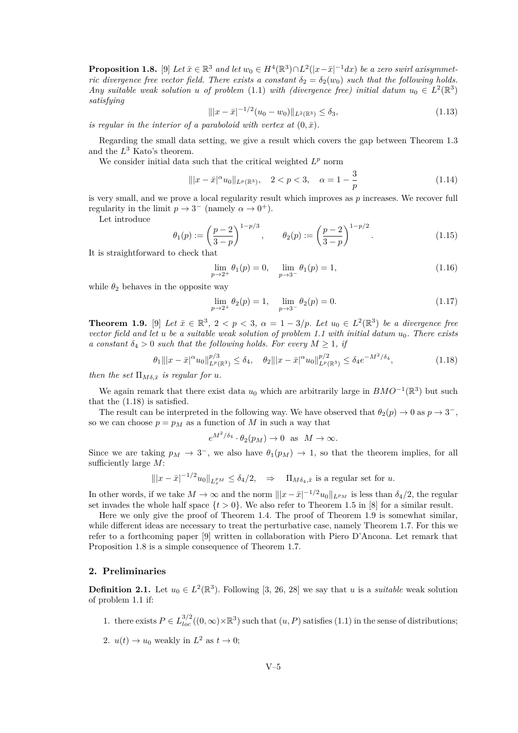<span id="page-5-3"></span>**Proposition 1.8.** [\[9\]](#page-13-18) *Let*  $\bar{x} \in \mathbb{R}^3$  *and let*  $w_0 \in H^4(\mathbb{R}^3) \cap L^2(|x - \bar{x}|^{-1}dx)$  *be a zero swirl axisymmetric divergence free vector field. There exists a constant*  $\delta_2 = \delta_2(w_0)$  *such that the following holds. Any suitable weak solution u of problem* [\(1.1\)](#page-1-0) *with (divergence free) initial datum*  $u_0 \in L^2(\mathbb{R}^3)$ *satisfying*

$$
\| |x - \bar{x}|^{-1/2} (u_0 - w_0) \|_{L^2(\mathbb{R}^3)} \le \delta_3,
$$
\n(1.13)

*is regular in the interior of a paraboloid with vertex at*  $(0, \bar{x})$ *.* 

Regarding the small data setting, we give a result which covers the gap between Theorem [1.3](#page-3-2) and the *L* <sup>3</sup> Kato's theorem.

We consider initial data such that the critical weighted  $L^p$  norm

$$
\| |x - \bar{x}|^{\alpha} u_0 \|_{L^p(\mathbb{R}^3)}, \quad 2 < p < 3, \quad \alpha = 1 - \frac{3}{p} \tag{1.14}
$$

is very small, and we prove a local regularity result which improves as *p* increases. We recover full regularity in the limit  $p \to 3^-$  (namely  $\alpha \to 0^+$ ).

Let introduce

$$
\theta_1(p) := \left(\frac{p-2}{3-p}\right)^{1-p/3}, \qquad \theta_2(p) := \left(\frac{p-2}{3-p}\right)^{1-p/2}.
$$
\n(1.15)

It is straightforward to check that

$$
\lim_{p \to 2^{+}} \theta_{1}(p) = 0, \quad \lim_{p \to 3^{-}} \theta_{1}(p) = 1,
$$
\n(1.16)

while  $\theta_2$  behaves in the opposite way

$$
\lim_{p \to 2^{+}} \theta_2(p) = 1, \quad \lim_{p \to 3^{-}} \theta_2(p) = 0.
$$
\n(1.17)

<span id="page-5-2"></span>**Theorem 1.9.** [\[9\]](#page-13-18) Let  $\bar{x} \in \mathbb{R}^3$ ,  $2 < p < 3$ ,  $\alpha = 1 - 3/p$ . Let  $u_0 \in L^2(\mathbb{R}^3)$  be a divergence free *vector field and let u be a suitable weak solution of problem [1.1](#page-1-0) with initial datum u*0*. There exists a constant*  $\delta_4 > 0$  *such that the following holds. For every*  $M \geq 1$ , *if* 

<span id="page-5-1"></span>
$$
\theta_1 \| |x - \bar{x}|^{\alpha} u_0\|_{L^p(\mathbb{R}^3)}^{p/3} \le \delta_4, \quad \theta_2 \| |x - \bar{x}|^{\alpha} u_0\|_{L^p(\mathbb{R}^3)}^{p/2} \le \delta_4 e^{-M^2/\delta_4}, \tag{1.18}
$$

*then the set*  $\Pi_{M \delta, \bar{x}}$  *is regular for u.* 

We again remark that there exist data  $u_0$  which are arbitrarily large in  $BMO^{-1}(\mathbb{R}^3)$  but such that the [\(1.18\)](#page-5-1) is satisfied.

The result can be interpreted in the following way. We have observed that  $\theta_2(p) \to 0$  as  $p \to 3^-$ , so we can choose  $p = p_M$  as a function of  $M$  in such a way that

$$
e^{M^2/\delta_4} \cdot \theta_2(p_M) \to 0 \text{ as } M \to \infty.
$$

Since we are taking  $p_M \to 3^-$ , we also have  $\theta_1(p_M) \to 1$ , so that the theorem implies, for all sufficiently large *M*:

$$
\| |x - \bar{x}|^{-1/2} u_0 \|_{L_x^{p_M}} \le \delta_4/2, \quad \Rightarrow \quad \Pi_{M\delta_4, \bar{x}} \text{ is a regular set for } u.
$$

In other words, if we take  $M \to \infty$  and the norm  $\| |x - \bar{x}|^{-1/2} u_0 \|_{L^{p_M}}$  is less than  $\delta_4/2$ , the regular set invades the whole half space  $\{t > 0\}$ . We also refer to Theorem 1.5 in [\[8\]](#page-13-17) for a similar result.

Here we only give the proof of Theorem [1.4.](#page-3-3) The proof of Theorem [1.9](#page-5-2) is somewhat similar, while different ideas are necessary to treat the perturbative case, namely Theorem [1.7.](#page-4-1) For this we refer to a forthcoming paper [\[9\]](#page-13-18) written in collaboration with Piero D'Ancona. Let remark that Proposition [1.8](#page-5-3) is a simple consequence of Theorem [1.7.](#page-4-1)

#### <span id="page-5-0"></span>**2. Preliminaries**

<span id="page-5-4"></span>**Definition 2.1.** Let  $u_0 \in L^2(\mathbb{R}^3)$ . Following [\[3,](#page-13-16) [26,](#page-14-0) [28\]](#page-14-13) we say that *u* is a *suitable* weak solution of problem [1.1](#page-1-0) if:

- 1. there exists  $P \in L^{3/2}_{loc}((0,\infty) \times \mathbb{R}^3)$  such that  $(u, P)$  satisfies [\(1.1\)](#page-1-0) in the sense of distributions;
- 2.  $u(t) \to u_0$  weakly in  $L^2$  as  $t \to 0$ ;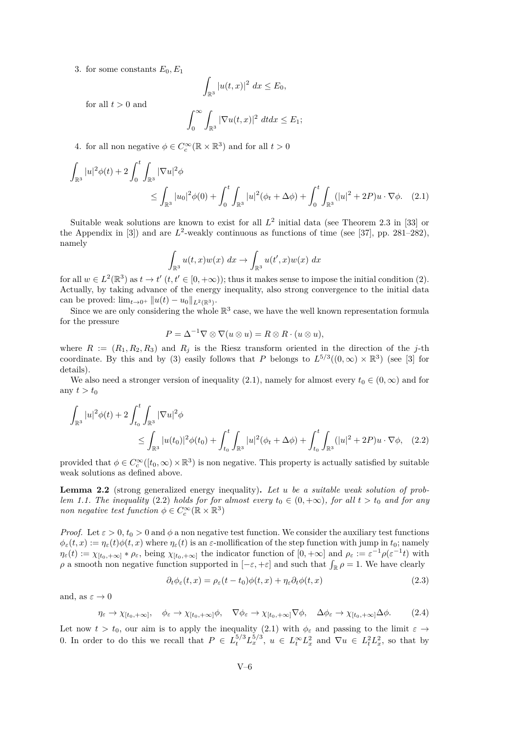3. for some constants  $E_0, E_1$ 

<span id="page-6-0"></span>
$$
\int_{\mathbb{R}^3} |u(t,x)|^2\ dx \le E_0,
$$

for all  $t > 0$  and

$$
\int_0^\infty \int_{\mathbb{R}^3} |\nabla u(t,x)|^2 dt dx \le E_1;
$$

4. for all non negative  $\phi \in C_c^{\infty}(\mathbb{R} \times \mathbb{R}^3)$  and for all  $t > 0$ 

$$
\int_{\mathbb{R}^3} |u|^2 \phi(t) + 2 \int_0^t \int_{\mathbb{R}^3} |\nabla u|^2 \phi
$$
\n
$$
\leq \int_{\mathbb{R}^3} |u_0|^2 \phi(0) + \int_0^t \int_{\mathbb{R}^3} |u|^2 (\phi_t + \Delta \phi) + \int_0^t \int_{\mathbb{R}^3} (|u|^2 + 2P) u \cdot \nabla \phi. \quad (2.1)
$$

Suitable weak solutions are known to exist for all  $L^2$  initial data (see Theorem 2.3 in [\[33\]](#page-14-12) or the Appendix in  $[3]$  and are  $L^2$ -weakly continuous as functions of time (see  $[37]$ , pp. 281–282), namely

$$
\int_{\mathbb{R}^3} u(t,x)w(x) \, dx \to \int_{\mathbb{R}^3} u(t',x)w(x) \, dx
$$

for all  $w \in L^2(\mathbb{R}^3)$  as  $t \to t'$   $(t, t' \in [0, +\infty))$ ; thus it makes sense to impose the initial condition (2). Actually, by taking advance of the energy inequality, also strong convergence to the initial data can be proved:  $\lim_{t \to 0^+} ||u(t) - u_0||_{L^2(\mathbb{R}^3)}$ .

Since we are only considering the whole  $\mathbb{R}^3$  case, we have the well known representation formula for the pressure

<span id="page-6-1"></span>
$$
P = \Delta^{-1} \nabla \otimes \nabla (u \otimes u) = R \otimes R \cdot (u \otimes u),
$$

where  $R := (R_1, R_2, R_3)$  and  $R_i$  is the Riesz transform oriented in the direction of the *j*-th coordinate. By this and by (3) easily follows that *P* belongs to  $L^{5/3}((0, \infty) \times \mathbb{R}^3)$  (see [\[3\]](#page-13-16) for details).

We also need a stronger version of inequality [\(2.1\)](#page-6-0), namely for almost every  $t_0 \in (0, \infty)$  and for any  $t > t_0$ 

$$
\int_{\mathbb{R}^3} |u|^2 \phi(t) + 2 \int_{t_0}^t \int_{\mathbb{R}^3} |\nabla u|^2 \phi
$$
\n
$$
\leq \int_{\mathbb{R}^3} |u(t_0)|^2 \phi(t_0) + \int_{t_0}^t \int_{\mathbb{R}^3} |u|^2 (\phi_t + \Delta \phi) + \int_{t_0}^t \int_{\mathbb{R}^3} (|u|^2 + 2P) u \cdot \nabla \phi, \quad (2.2)
$$

provided that  $\phi \in C_c^{\infty}([t_0, \infty) \times \mathbb{R}^3)$  is non negative. This property is actually satisfied by suitable weak solutions as defined above.

<span id="page-6-4"></span>**Lemma 2.2** (strong generalized energy inequality)**.** *Let u be a suitable weak solution of problem* [1.1.](#page-1-0) The inequality [\(2.2\)](#page-6-1) holds for for almost every  $t_0 \in (0, +\infty)$ , for all  $t > t_0$  and for any *non negative test function*  $\phi \in C_c^{\infty}(\mathbb{R} \times \mathbb{R}^3)$ 

*Proof.* Let  $\varepsilon > 0$ ,  $t_0 > 0$  and  $\phi$  a non negative test function. We consider the auxiliary test functions  $\phi_{\varepsilon}(t,x) := \eta_{\varepsilon}(t)\phi(t,x)$  where  $\eta_{\varepsilon}(t)$  is an  $\varepsilon$ -mollification of the step function with jump in  $t_0$ ; namely  $\eta_{\varepsilon}(t) := \chi_{[t_0, +\infty]} * \rho_{\varepsilon}$ , being  $\chi_{[t_0, +\infty]}$  the indicator function of  $[0, +\infty]$  and  $\rho_{\varepsilon} := \varepsilon^{-1} \rho(\varepsilon^{-1} t)$  with *ρ* a smooth non negative function supported in  $[-\varepsilon, +\varepsilon]$  and such that  $\int_{\mathbb{R}} \rho = 1$ . We have clearly

<span id="page-6-2"></span>
$$
\partial_t \phi_{\varepsilon}(t, x) = \rho_{\varepsilon}(t - t_0) \phi(t, x) + \eta_{\varepsilon} \partial_t \phi(t, x) \tag{2.3}
$$

and, as  $\varepsilon \to 0$ 

<span id="page-6-3"></span>
$$
\eta_{\varepsilon} \to \chi_{[t_0, +\infty]}, \quad \phi_{\varepsilon} \to \chi_{[t_0, +\infty]} \phi, \quad \nabla \phi_{\varepsilon} \to \chi_{[t_0, +\infty]} \nabla \phi, \quad \Delta \phi_{\varepsilon} \to \chi_{[t_0, +\infty]} \Delta \phi. \tag{2.4}
$$

Let now  $t > t_0$ , our aim is to apply the inequality [\(2.1\)](#page-6-0) with  $\phi_{\varepsilon}$  and passing to the limit  $\varepsilon \to$ 0. In order to do this we recall that  $P \in L_t^{5/3} L_x^{5/3}$ ,  $u \in L_t^{\infty} L_x^2$  and  $\nabla u \in L_t^2 L_x^2$ , so that by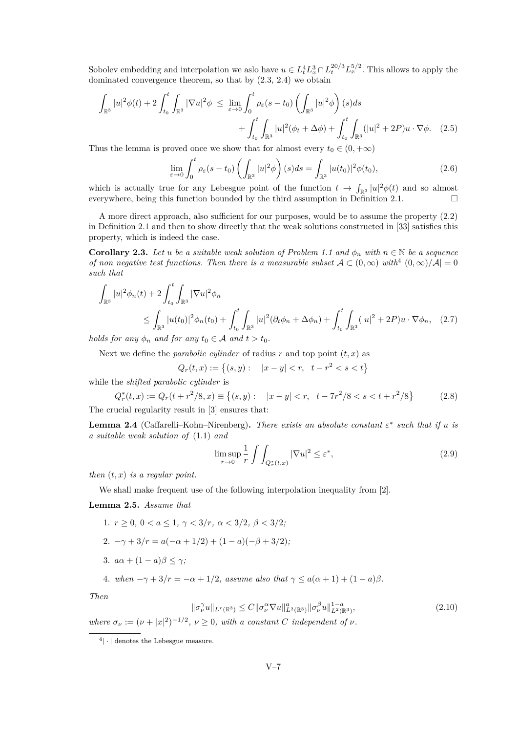Sobolev embedding and interpolation we aslo have  $u \in L_t^4 L_x^3 \cap L_t^{20/3} L_x^{5/2}$ . This allows to apply the dominated convergence theorem, so that by [\(2.3,](#page-6-2) [2.4\)](#page-6-3) we obtain

$$
\int_{\mathbb{R}^3} |u|^2 \phi(t) + 2 \int_{t_0}^t \int_{\mathbb{R}^3} |\nabla u|^2 \phi \le \lim_{\varepsilon \to 0} \int_0^t \rho_\varepsilon(s - t_0) \left( \int_{\mathbb{R}^3} |u|^2 \phi \right)(s) ds + \int_{t_0}^t \int_{\mathbb{R}^3} |u|^2 (\phi_t + \Delta \phi) + \int_{t_0}^t \int_{\mathbb{R}^3} (|u|^2 + 2P) u \cdot \nabla \phi. \tag{2.5}
$$

Thus the lemma is proved once we show that for almost every  $t_0 \in (0, +\infty)$ 

$$
\lim_{\varepsilon \to 0} \int_0^t \rho_\varepsilon(s - t_0) \left( \int_{\mathbb{R}^3} |u|^2 \phi \right)(s) ds = \int_{\mathbb{R}^3} |u(t_0)|^2 \phi(t_0),\tag{2.6}
$$

which is actually true for any Lebesgue point of the function  $t \to \int_{\mathbb{R}^3} |u|^2 \phi(t)$  and so almost everywhere, being this function bounded by the third assumption in Definition [2.1.](#page-5-4)  $\Box$ 

A more direct approach, also sufficient for our purposes, would be to assume the property [\(2.2\)](#page-6-1) in Definition [2.1](#page-5-4) and then to show directly that the weak solutions constructed in [\[33\]](#page-14-12) satisfies this property, which is indeed the case.

<span id="page-7-3"></span>**Corollary 2.3.** *Let u be a suitable weak solution of Problem [1.1](#page-1-0) and*  $\phi_n$  *with*  $n \in \mathbb{N}$  *be a sequence of non negative test functions. Then there is a measurable subset*  $A \subset (0,\infty)$  with<sup>4</sup>  $(0,\infty)/A$  = 0 *such that*

$$
\int_{\mathbb{R}^3} |u|^2 \phi_n(t) + 2 \int_{t_0}^t \int_{\mathbb{R}^3} |\nabla u|^2 \phi_n
$$
\n
$$
\leq \int_{\mathbb{R}^3} |u(t_0)|^2 \phi_n(t_0) + \int_{t_0}^t \int_{\mathbb{R}^3} |u|^2 (\partial_t \phi_n + \Delta \phi_n) + \int_{t_0}^t \int_{\mathbb{R}^3} (|u|^2 + 2P) u \cdot \nabla \phi_n, \quad (2.7)
$$
\nles for any  $\phi$ , and for any  $t \in A$  and  $t > t_0$ .

*holds for any*  $\phi_n$  *and for any*  $t_0 \in A$  *and*  $t > t_0$ *.* 

Next we define the *parabolic cylinder* of radius  $r$  and top point  $(t, x)$  as

 $Q_r(t,x) := \{(s,y): \quad |x-y| < r, \quad t-r^2 < s < t\}$ 

while the *shifted parabolic cylinder* is

<span id="page-7-1"></span>
$$
Q_r^*(t, x) := Q_r(t + r^2/8, x) \equiv \{(s, y) : |x - y| < r, t - 7r^2/8 < s < t + r^2/8\}
$$
(2.8)  
zucial regularity result in [3] ensures that:

The crucial regularity result in [\[3\]](#page-13-16) ensures that:

**Lemma 2.4** (Caffarelli–Kohn–Nirenberg). *There exists an absolute constant*  $\varepsilon^*$  *such that if*  $u$  *is a suitable weak solution of* [\(1.1\)](#page-1-0) *and*

<span id="page-7-0"></span>
$$
\limsup_{r \to 0} \frac{1}{r} \int \int_{Q_r^*(t,x)} |\nabla u|^2 \le \varepsilon^*,\tag{2.9}
$$

*then* (*t, x*) *is a regular point.*

We shall make frequent use of the following interpolation inequality from [\[2\]](#page-13-19).

#### **Lemma 2.5.** *Assume that*

- 1.  $r > 0$ ,  $0 < a < 1$ ,  $\gamma < 3/r$ ,  $\alpha < 3/2$ ,  $\beta < 3/2$ ;
- 2.  $-\gamma + 3/r = a(-\alpha + 1/2) + (1 a)(-\beta + 3/2)$ ;
- 3.  $a\alpha + (1 a)\beta \leq \gamma$ ;

4. *when*  $-\gamma + 3/r = -\alpha + 1/2$ , assume also that  $\gamma \leq a(\alpha + 1) + (1 - a)\beta$ .

*Then*

<span id="page-7-2"></span>
$$
\|\sigma_{\nu}^{\gamma}u\|_{L^{r}(\mathbb{R}^{3})} \leq C \|\sigma_{\nu}^{\alpha}\nabla u\|_{L^{2}(\mathbb{R}^{3})}^{a} \|\sigma_{\nu}^{\beta}u\|_{L^{2}(\mathbb{R}^{3})}^{1-a}, \tag{2.10}
$$

*where*  $\sigma_{\nu} := (\nu + |x|^2)^{-1/2}, \ \nu \geq 0$ , with a constant *C* independent of  $\nu$ .

 $4 \cdot |$  denotes the Lebesgue measure.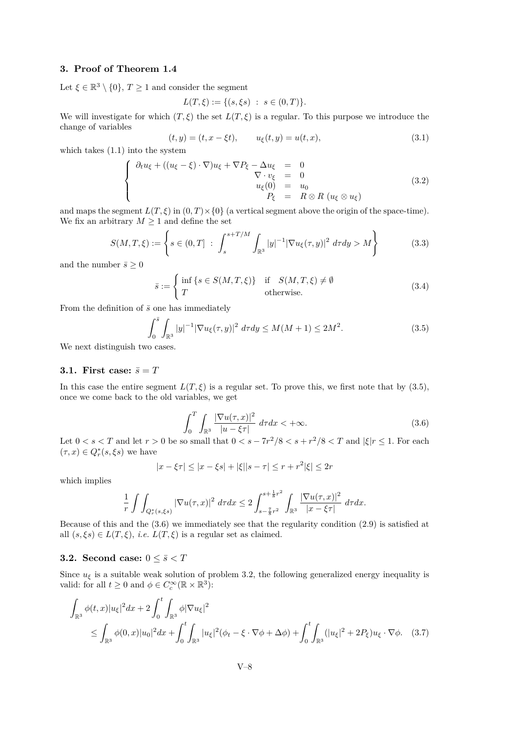#### **3. Proof of Theorem [1.4](#page-3-3)**

Let  $\xi \in \mathbb{R}^3 \setminus \{0\}, T \ge 1$  and consider the segment

$$
L(T,\xi) := \{ (s,\xi s) : s \in (0,T) \}.
$$

We will investigate for which  $(T, \xi)$  the set  $L(T, \xi)$  is a regular. To this purpose we introduce the change of variables

<span id="page-8-3"></span>
$$
(t, y) = (t, x - \xi t), \qquad u_{\xi}(t, y) = u(t, x), \tag{3.1}
$$

which takes [\(1.1\)](#page-1-0) into the system

<span id="page-8-2"></span>
$$
\begin{cases}\n\partial_t u_{\xi} + ((u_{\xi} - \xi) \cdot \nabla) u_{\xi} + \nabla P_{\xi} - \Delta u_{\xi} & = 0 \\
\nabla \cdot v_{\xi} & = 0 \\
u_{\xi}(0) & = u_0 \\
P_{\xi} & = R \otimes R \ (u_{\xi} \otimes u_{\xi})\n\end{cases} (3.2)
$$

and maps the segment  $L(T, \xi)$  in  $(0, T) \times \{0\}$  (a vertical segment above the origin of the space-time). We fix an arbitrary  $M \geq 1$  and define the set

$$
S(M, T, \xi) := \left\{ s \in (0, T] : \int_s^{s + T/M} \int_{\mathbb{R}^3} |y|^{-1} |\nabla u_{\xi}(\tau, y)|^2 \, d\tau dy > M \right\}
$$
(3.3)

and the number  $\bar{s} \geq 0$ 

$$
\bar{s} := \begin{cases} \inf \{ s \in S(M, T, \xi) \} & \text{if } S(M, T, \xi) \neq \emptyset \\ T & \text{otherwise.} \end{cases}
$$
 (3.4)

From the definition of  $\bar{s}$  one has immediately

<span id="page-8-0"></span>
$$
\int_0^{\bar{s}} \int_{\mathbb{R}^3} |y|^{-1} |\nabla u_{\xi}(\tau, y)|^2 \, d\tau dy \le M(M+1) \le 2M^2. \tag{3.5}
$$

We next distinguish two cases.

#### **3.1. First case:**  $\bar{s} = T$

In this case the entire segment  $L(T,\xi)$  is a regular set. To prove this, we first note that by [\(3.5\)](#page-8-0), once we come back to the old variables, we get

<span id="page-8-1"></span>
$$
\int_0^T \int_{\mathbb{R}^3} \frac{|\nabla u(\tau, x)|^2}{|u - \xi \tau|} d\tau dx < +\infty.
$$
 (3.6)

Let  $0 < s < T$  and let  $r > 0$  be so small that  $0 < s - 7r^2/8 < s + r^2/8 < T$  and  $|\xi|r \leq 1$ . For each  $(\tau, x) \in Q_r^*(s, \xi s)$  we have

<span id="page-8-4"></span>
$$
|x - \xi \tau| \le |x - \xi s| + |\xi||s - \tau| \le r + r^2 |\xi| \le 2r
$$

which implies

$$
\frac{1}{r} \int \int_{Q_r^*(s,\xi s)} |\nabla u(\tau,x)|^2 \, d\tau dx \le 2 \int_{s-\frac{7}{8}r^2}^{s+\frac{1}{8}r^2} \int_{\mathbb{R}^3} \frac{|\nabla u(\tau,x)|^2}{|x-\xi\tau|} \, d\tau dx.
$$

Because of this and the [\(3.6\)](#page-8-1) we immediately see that the regularity condition [\(2.9\)](#page-7-0) is satisfied at all  $(s, \xi s) \in L(T, \xi)$ , *i.e.*  $L(T, \xi)$  is a regular set as claimed.

#### **3.2.** Second case:  $0 \leq \bar{s} < T$

Since  $u_{\xi}$  is a suitable weak solution of problem [3.2,](#page-8-2) the following generalized energy inequality is valid: for all  $t \geq 0$  and  $\phi \in C_c^{\infty}(\mathbb{R} \times \mathbb{R}^3)$ :

$$
\int_{\mathbb{R}^3} \phi(t,x) |u_{\xi}|^2 dx + 2 \int_0^t \int_{\mathbb{R}^3} \phi |\nabla u_{\xi}|^2
$$
\n
$$
\leq \int_{\mathbb{R}^3} \phi(0,x) |u_0|^2 dx + \int_0^t \int_{\mathbb{R}^3} |u_{\xi}|^2 (\phi_t - \xi \cdot \nabla \phi + \Delta \phi) + \int_0^t \int_{\mathbb{R}^3} (|u_{\xi}|^2 + 2P_{\xi}) u_{\xi} \cdot \nabla \phi. \quad (3.7)
$$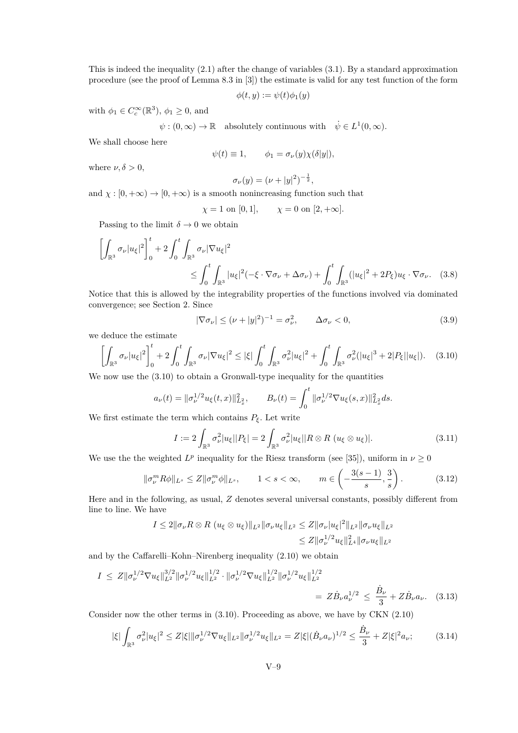This is indeed the inequality [\(2.1\)](#page-6-0) after the change of variables [\(3.1\)](#page-8-3). By a standard approximation procedure (see the proof of Lemma 8.3 in [\[3\]](#page-13-16)) the estimate is valid for any test function of the form

$$
\phi(t, y) := \psi(t)\phi_1(y)
$$

with  $\phi_1 \in C_c^{\infty}(\mathbb{R}^3)$ ,  $\phi_1 \ge 0$ , and

 $\psi : (0, \infty) \to \mathbb{R}$  absolutely continuous with  $\dot{\psi} \in L^1(0, \infty)$ *.* 

We shall choose here

$$
\psi(t) \equiv 1, \qquad \phi_1 = \sigma_\nu(y)\chi(\delta|y|),
$$

where  $\nu, \delta > 0$ ,

$$
\sigma_{\nu}(y) = (\nu + |y|^2)^{-\frac{1}{2}},
$$

and  $\chi : [0, +\infty) \to [0, +\infty)$  is a smooth nonincreasing function such that

$$
\chi = 1
$$
 on [0, 1],  $\chi = 0$  on [2, + $\infty$ ].

Passing to the limit  $\delta \to 0$  we obtain

$$
\left[\int_{\mathbb{R}^3} \sigma_{\nu} |u_{\xi}|^2 \right]_0^t + 2 \int_0^t \int_{\mathbb{R}^3} \sigma_{\nu} |\nabla u_{\xi}|^2
$$
\n
$$
\leq \int_0^t \int_{\mathbb{R}^3} |u_{\xi}|^2 (-\xi \cdot \nabla \sigma_{\nu} + \Delta \sigma_{\nu}) + \int_0^t \int_{\mathbb{R}^3} (|u_{\xi}|^2 + 2P_{\xi}) u_{\xi} \cdot \nabla \sigma_{\nu}. \quad (3.8)
$$

Notice that this is allowed by the integrability properties of the functions involved via dominated convergence; see Section [2.](#page-5-0) Since

<span id="page-9-1"></span>
$$
|\nabla \sigma_{\nu}| \le (\nu + |y|^2)^{-1} = \sigma_{\nu}^2, \qquad \Delta \sigma_{\nu} < 0,\tag{3.9}
$$

we deduce the estimate

<span id="page-9-0"></span>
$$
\left[\int_{\mathbb{R}^3} \sigma_{\nu} |u_{\xi}|^2 \right]_0^t + 2 \int_0^t \int_{\mathbb{R}^3} \sigma_{\nu} |\nabla u_{\xi}|^2 \le |\xi| \int_0^t \int_{\mathbb{R}^3} \sigma_{\nu}^2 |u_{\xi}|^2 + \int_0^t \int_{\mathbb{R}^3} \sigma_{\nu}^2 (|u_{\xi}|^3 + 2|P_{\xi}||u_{\xi}|). \tag{3.10}
$$

We now use the  $(3.10)$  to obtain a Gronwall-type inequality for the quantities

$$
a_{\nu}(t) = \|\sigma_{\nu}^{1/2} u_{\xi}(t,x)\|_{L_x^2}^2, \qquad B_{\nu}(t) = \int_0^t \|\sigma_{\nu}^{1/2} \nabla u_{\xi}(s,x)\|_{L_x^2}^2 ds.
$$

We first estimate the term which contains  $P_{\xi}$ . Let write

$$
I := 2 \int_{\mathbb{R}^3} \sigma_\nu^2 |u_\xi| |P_\xi| = 2 \int_{\mathbb{R}^3} \sigma_\nu^2 |u_\xi| |R \otimes R \ (u_\xi \otimes u_\xi)|. \tag{3.11}
$$

We use the the weighted  $L^p$  inequality for the Riesz transform (see [\[35\]](#page-14-15)), uniform in  $\nu \geq 0$ 

$$
\|\sigma_{\nu}^{m}R\phi\|_{L^{s}} \le Z\|\sigma_{\nu}^{m}\phi\|_{L^{s}}, \qquad 1 < s < \infty, \qquad m \in \left(-\frac{3(s-1)}{s}, \frac{3}{s}\right). \tag{3.12}
$$

Here and in the following, as usual, *Z* denotes several universal constants, possibly different from line to line. We have

$$
I \leq 2 \|\sigma_{\nu} R \otimes R \ (u_{\xi} \otimes u_{\xi})\|_{L^{2}} \|\sigma_{\nu} u_{\xi}\|_{L^{2}} \leq Z \|\sigma_{\nu} |u_{\xi}|^{2} \|_{L^{2}} \|\sigma_{\nu} u_{\xi}\|_{L^{2}} \leq Z \|\sigma_{\nu}^{1/2} u_{\xi}\|_{L^{4}}^{2} \|\sigma_{\nu} u_{\xi}\|_{L^{2}}
$$

and by the Caffarelli–Kohn–Nirenberg inequality [\(2.10\)](#page-7-2) we obtain

$$
I \leq Z \|\sigma_{\nu}^{1/2} \nabla u_{\xi}\|_{L^{2}}^{3/2} \|\sigma_{\nu}^{1/2} u_{\xi}\|_{L^{2}}^{1/2} \cdot \|\sigma_{\nu}^{1/2} \nabla u_{\xi}\|_{L^{2}}^{1/2} \|\sigma_{\nu}^{1/2} u_{\xi}\|_{L^{2}}^{1/2}
$$
  
=  $Z \dot{B}_{\nu} a_{\nu}^{1/2} \leq \frac{\dot{B}_{\nu}}{3} + Z \dot{B}_{\nu} a_{\nu}$ . (3.13)

Consider now the other terms in [\(3.10\)](#page-9-0). Proceeding as above, we have by CKN [\(2.10\)](#page-7-2)

$$
|\xi| \int_{\mathbb{R}^3} \sigma_\nu^2 |u_\xi|^2 \le Z |\xi| \|\sigma_\nu^{1/2} \nabla u_\xi\|_{L^2} \|\sigma_\nu^{1/2} u_\xi\|_{L^2} = Z |\xi| (\dot{B}_\nu a_\nu)^{1/2} \le \frac{\dot{B}_\nu}{3} + Z |\xi|^2 a_\nu; \tag{3.14}
$$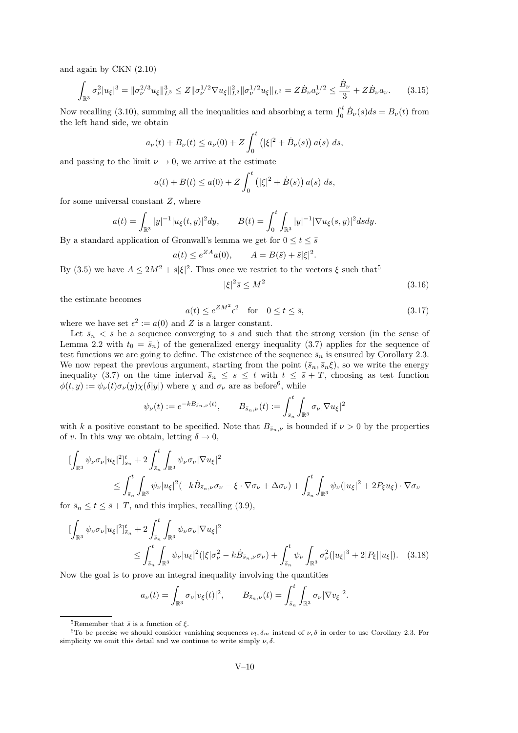and again by CKN [\(2.10\)](#page-7-2)

$$
\int_{\mathbb{R}^3} \sigma_\nu^2 |u_\xi|^3 = \|\sigma_\nu^{2/3} u_\xi\|_{L^3}^3 \le Z \|\sigma_\nu^{1/2} \nabla u_\xi\|_{L^2}^2 \|\sigma_\nu^{1/2} u_\xi\|_{L^2} = Z \dot{B}_\nu a_\nu^{1/2} \le \frac{\dot{B}_\nu}{3} + Z \dot{B}_\nu a_\nu. \tag{3.15}
$$

Now recalling [\(3.10\)](#page-9-0), summing all the inequalities and absorbing a term  $\int_0^t \dot{B}_\nu(s)ds = B_\nu(t)$  from the left hand side, we obtain

$$
a_{\nu}(t) + B_{\nu}(t) \le a_{\nu}(0) + Z \int_0^t (|\xi|^2 + \dot{B}_{\nu}(s)) a(s) ds,
$$

and passing to the limit  $\nu \rightarrow 0$ , we arrive at the estimate

$$
a(t) + B(t) \le a(0) + Z \int_0^t (|\xi|^2 + \dot{B}(s)) a(s) ds,
$$

for some universal constant *Z*, where

$$
a(t) = \int_{\mathbb{R}^3} |y|^{-1} |u_{\xi}(t, y)|^2 dy, \qquad B(t) = \int_0^t \int_{\mathbb{R}^3} |y|^{-1} |\nabla u_{\xi}(s, y)|^2 ds dy.
$$

By a standard application of Gronwall's lemma we get for  $0 \le t \le \bar{s}$ 

$$
a(t) \le e^{ZA}a(0), \qquad A = B(\bar{s}) + \bar{s}|\xi|^2.
$$

By [\(3.5\)](#page-8-0) we have  $A \leq 2M^2 + \bar{s}|\xi|^2$ . Thus once we restrict to the vectors  $\xi$  such that<sup>5</sup>

<span id="page-10-2"></span>
$$
|\xi|^2 \bar{s} \le M^2 \tag{3.16}
$$

the estimate becomes

<span id="page-10-1"></span>
$$
a(t) \le e^{Z M^2} \epsilon^2 \quad \text{for} \quad 0 \le t \le \bar{s}, \tag{3.17}
$$

where we have set  $\epsilon^2 := a(0)$  and Z is a larger constant.

Let  $\bar{s}_n < \bar{s}$  be a sequence converging to  $\bar{s}$  and such that the strong version (in the sense of Lemma [2.2](#page-6-4) with  $t_0 = \bar{s}_n$  of the generalized energy inequality [\(3.7\)](#page-8-4) applies for the sequence of test functions we are going to define. The existence of the sequence  $\bar{s}_n$  is ensured by Corollary [2.3.](#page-7-3) We now repeat the previous argument, starting from the point  $(\bar{s}_n, \bar{s}_n \xi)$ , so we write the energy inequality [\(3.7\)](#page-8-4) on the time interval  $\bar{s}_n \leq s \leq t$  with  $t \leq \bar{s}+T$ , choosing as test function  $\phi(t, y) := \psi_{\nu}(t)\sigma_{\nu}(y)\chi(\delta|y|)$  where  $\chi$  and  $\sigma_{\nu}$  are as before<sup>6</sup>, while

$$
\psi_{\nu}(t):=e^{-kB_{\bar{s}_n,\nu}(t)},\qquad B_{\bar{s}_n,\nu}(t):=\int_{\bar{s}_n}^t\int_{\mathbb{R}^3}\sigma_{\nu}|\nabla u_{\xi}|^2
$$

with *k* a positive constant to be specified. Note that  $B_{\bar{s}_n, \nu}$  is bounded if  $\nu > 0$  by the properties of *v*. In this way we obtain, letting  $\delta \to 0$ ,

$$
\begin{split}\n&\left[\int_{\mathbb{R}^{3}}\psi_{\nu}\sigma_{\nu}|u_{\xi}|^{2}\right]_{\bar{s}_{n}}^{t} + 2\int_{\bar{s}_{n}}^{t}\int_{\mathbb{R}^{3}}\psi_{\nu}\sigma_{\nu}|\nabla u_{\xi}|^{2} \\
&\leq \int_{\bar{s}_{n}}^{t}\int_{\mathbb{R}^{3}}\psi_{\nu}|u_{\xi}|^{2}(-k\dot{B}_{\bar{s}_{n},\nu}\sigma_{\nu} - \xi \cdot \nabla \sigma_{\nu} + \Delta \sigma_{\nu}) + \int_{\bar{s}_{n}}^{t}\int_{\mathbb{R}^{3}}\psi_{\nu}(|u_{\xi}|^{2} + 2P_{\xi}u_{\xi}) \cdot \nabla \sigma_{\nu}\n\end{split}
$$

for  $\bar{s}_n \leq t \leq \bar{s} + T$ , and this implies, recalling [\(3.9\)](#page-9-1),

$$
\begin{split} [\int_{\mathbb{R}^{3}} \psi_{\nu} \sigma_{\nu} |u_{\xi}|^{2}]_{\bar{s}_{n}}^{t} + 2 \int_{\bar{s}_{n}}^{t} \int_{\mathbb{R}^{3}} \psi_{\nu} \sigma_{\nu} |\nabla u_{\xi}|^{2} \\ & \leq \int_{\bar{s}_{n}}^{t} \int_{\mathbb{R}^{3}} \psi_{\nu} |u_{\xi}|^{2} (|\xi| \sigma_{\nu}^{2} - k \dot{B}_{\bar{s}_{n}, \nu} \sigma_{\nu}) + \int_{\bar{s}_{n}}^{t} \psi_{\nu} \int_{\mathbb{R}^{3}} \sigma_{\nu}^{2} (|u_{\xi}|^{3} + 2|P_{\xi}| |u_{\xi}|). \end{split} \tag{3.18}
$$

Now the goal is to prove an integral inequality involving the quantities

<span id="page-10-0"></span>
$$
a_{\nu}(t) = \int_{\mathbb{R}^3} \sigma_{\nu} |v_{\xi}(t)|^2, \qquad B_{\bar{s}_n,\nu}(t) = \int_{\bar{s}_n}^t \int_{\mathbb{R}^3} \sigma_{\nu} |\nabla v_{\xi}|^2.
$$

<sup>&</sup>lt;sup>5</sup>Remember that  $\bar{s}$  is a function of  $\xi$ .

<sup>&</sup>lt;sup>6</sup>To be precise we should consider vanishing sequences  $\nu_l, \delta_m$  instead of  $\nu, \delta$  in order to use Corollary [2.3.](#page-7-3) For simplicity we omit this detail and we continue to write simply  $\nu, \delta$ .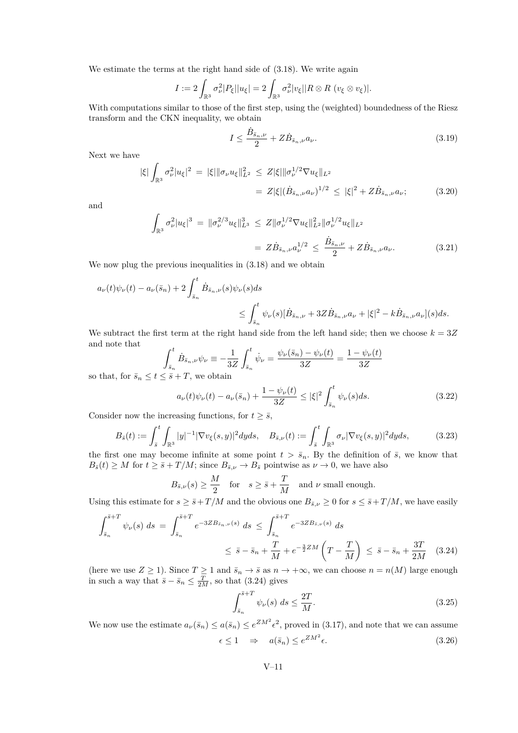We estimate the terms at the right hand side of [\(3.18\)](#page-10-0). We write again

$$
I := 2 \int_{\mathbb{R}^3} \sigma_\nu^2 |P_\xi| |u_\xi| = 2 \int_{\mathbb{R}^3} \sigma_\nu^2 |v_\xi| |R \otimes R \ (v_\xi \otimes v_\xi)|.
$$

With computations similar to those of the first step, using the (weighted) boundedness of the Riesz transform and the CKN inequality, we obtain

$$
I \le \frac{\dot{B}_{\bar{s}_n,\nu}}{2} + Z \dot{B}_{\bar{s}_n,\nu} a_\nu.
$$
\n(3.19)

Next we have

$$
|\xi| \int_{\mathbb{R}^3} \sigma_\nu^2 |u_\xi|^2 = |\xi| \|\sigma_\nu u_\xi\|_{L^2}^2 \le Z |\xi| \|\sigma_\nu^{1/2} \nabla u_\xi\|_{L^2}
$$
  
=  $Z |\xi| (\dot{B}_{\bar{s}_n,\nu} a_\nu)^{1/2} \le |\xi|^2 + Z \dot{B}_{\bar{s}_n,\nu} a_\nu;$  (3.20)

and

$$
\int_{\mathbb{R}^3} \sigma_\nu^2 |u_{\xi}|^3 = \|\sigma_\nu^{2/3} u_{\xi}\|_{L^3}^3 \le Z \|\sigma_\nu^{1/2} \nabla u_{\xi}\|_{L^2}^2 \|\sigma_\nu^{1/2} u_{\xi}\|_{L^2}
$$
\n
$$
= Z \dot{B}_{\bar{s}_n, \nu} a_\nu^{1/2} \le \frac{\dot{B}_{\bar{s}_n, \nu}}{2} + Z \dot{B}_{\bar{s}_n, \nu} a_\nu. \tag{3.21}
$$

We now plug the previous inequalities in  $(3.18)$  and we obtain

$$
a_{\nu}(t)\psi_{\nu}(t) - a_{\nu}(\bar{s}_{n}) + 2\int_{\bar{s}_{n}}^{t} \dot{B}_{\bar{s}_{n},\nu}(s)\psi_{\nu}(s)ds
$$
  

$$
\leq \int_{\bar{s}_{n}}^{t} \psi_{\nu}(s)[\dot{B}_{\bar{s}_{n},\nu} + 3Z\dot{B}_{\bar{s}_{n},\nu}a_{\nu} + |\xi|^{2} - k\dot{B}_{\bar{s}_{n},\nu}a_{\nu}](s)ds.
$$

We subtract the first term at the right hand side from the left hand side; then we choose  $k = 3Z$ and note that

$$
\int_{\bar{s}_n}^t \dot{B}_{\bar{s}_n,\nu} \psi_{\nu} \equiv -\frac{1}{3Z} \int_{\bar{s}_n}^t \dot{\psi}_{\nu} = \frac{\psi_{\nu}(\bar{s}_n) - \psi_{\nu}(t)}{3Z} = \frac{1 - \psi_{\nu}(t)}{3Z}
$$

so that, for  $\bar{s}_n \leq t \leq \bar{s} + T$ , we obtain

<span id="page-11-1"></span>
$$
a_{\nu}(t)\psi_{\nu}(t) - a_{\nu}(\bar{s}_{n}) + \frac{1 - \psi_{\nu}(t)}{3Z} \le |\xi|^{2} \int_{\bar{s}_{n}}^{t} \psi_{\nu}(s)ds.
$$
 (3.22)

Consider now the increasing functions, for  $t \geq \bar{s}$ ,

$$
B_{\bar{s}}(t) := \int_{\bar{s}}^{t} \int_{\mathbb{R}^3} |y|^{-1} |\nabla v_{\xi}(s, y)|^2 dy ds, \quad B_{\bar{s}, \nu}(t) := \int_{\bar{s}}^{t} \int_{\mathbb{R}^3} \sigma_{\nu} |\nabla v_{\xi}(s, y)|^2 dy ds, \tag{3.23}
$$

the first one may become infinite at some point  $t > \bar{s}_n$ . By the definition of  $\bar{s}$ , we know that  $B_{\bar{s}}(t) \geq M$  for  $t \geq \bar{s} + T/M$ ; since  $B_{\bar{s},\nu} \to B_{\bar{s}}$  pointwise as  $\nu \to 0$ , we have also

$$
B_{\bar{s},\nu}(s) \ge \frac{M}{2}
$$
 for  $s \ge \bar{s} + \frac{T}{M}$  and  $\nu$  small enough.

Using this estimate for  $s \geq \bar{s} + T/M$  and the obvious one  $B_{\bar{s},\nu} \geq 0$  for  $s \leq \bar{s} + T/M$ , we have easily

$$
\int_{\bar{s}_n}^{\bar{s}+T} \psi_{\nu}(s) \, ds = \int_{\bar{s}_n}^{\bar{s}+T} e^{-3Z B_{\bar{s}_n,\nu}(s)} \, ds \le \int_{\bar{s}_n}^{\bar{s}+T} e^{-3Z B_{\bar{s},\nu}(s)} \, ds
$$
\n
$$
\le \bar{s} - \bar{s}_n + \frac{T}{M} + e^{-\frac{3}{2}ZM} \left( T - \frac{T}{M} \right) \le \bar{s} - \bar{s}_n + \frac{3T}{2M} \quad (3.24)
$$

(here we use  $Z \ge 1$ ). Since  $T \ge 1$  and  $\bar{s}_n \to \bar{s}$  as  $n \to +\infty$ , we can choose  $n = n(M)$  large enough in such a way that  $\bar{s} - \bar{s}_n \leq \frac{T}{2M}$ , so that [\(3.24\)](#page-11-0) gives

<span id="page-11-0"></span>
$$
\int_{\bar{s}_n}^{\bar{s}+T} \psi_{\nu}(s) \, ds \le \frac{2T}{M}.\tag{3.25}
$$

We now use the estimate  $a_{\nu}(\bar{s}_n) \le a(\bar{s}_n) \le e^{ZM^2} \epsilon^2$ , proved in [\(3.17\)](#page-10-1), and note that we can assume *ZM*<sup>2</sup>

<span id="page-11-2"></span>
$$
\epsilon \le 1 \quad \Rightarrow \quad a(\bar{s}_n) \le e^{Z M^2} \epsilon. \tag{3.26}
$$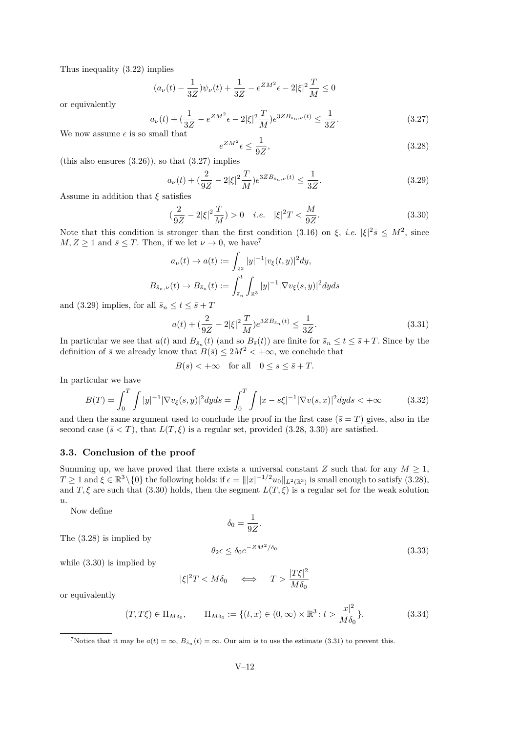Thus inequality [\(3.22\)](#page-11-1) implies

$$
(a_{\nu}(t) - \frac{1}{3Z})\psi_{\nu}(t) + \frac{1}{3Z} - e^{ZM^2}\epsilon - 2|\xi|^2 \frac{T}{M} \le 0
$$

or equivalently

<span id="page-12-0"></span>
$$
a_{\nu}(t) + \left(\frac{1}{3Z} - e^{ZM^2}\epsilon - 2|\xi|^2 \frac{T}{M}\right) e^{3ZB_{\bar{s}_n,\nu}(t)} \le \frac{1}{3Z}.
$$
 (3.27)

We now assume  $\epsilon$  is so small that

<span id="page-12-2"></span>
$$
e^{ZM^2}\epsilon \le \frac{1}{9Z},\tag{3.28}
$$

(this also ensures  $(3.26)$ ), so that  $(3.27)$  implies

<span id="page-12-1"></span>
$$
a_{\nu}(t) + \left(\frac{2}{9Z} - 2|\xi|^2 \frac{T}{M}\right) e^{3Z B_{\bar{s}_n,\nu}(t)} \le \frac{1}{3Z}.\tag{3.29}
$$

Assume in addition that *ξ* satisfies

<span id="page-12-3"></span>
$$
(\frac{2}{9Z} - 2|\xi|^2 \frac{T}{M}) > 0 \quad i.e. \quad |\xi|^2 T < \frac{M}{9Z}.
$$
 (3.30)

Note that this condition is stronger than the first condition [\(3.16\)](#page-10-2) on  $\xi$ , *i.e.*  $|\xi|^2 \bar{s} \leq M^2$ , since  $M, Z \geq 1$  and  $\bar{s} \leq T$ . Then, if we let  $\nu \to 0$ , we have<sup>7</sup>

$$
a_{\nu}(t) \to a(t) := \int_{\mathbb{R}^3} |y|^{-1} |v_{\xi}(t, y)|^2 dy,
$$
  

$$
B_{\bar{s}_n, \nu}(t) \to B_{\bar{s}_n}(t) := \int_{\bar{s}_n}^t \int_{\mathbb{R}^3} |y|^{-1} |\nabla v_{\xi}(s, y)|^2 dy ds
$$

and [\(3.29\)](#page-12-1) implies, for all  $\bar{s}_n \leq t \leq \bar{s} + T$ 

<span id="page-12-4"></span>
$$
a(t) + \left(\frac{2}{9Z} - 2|\xi|^2 \frac{T}{M}\right) e^{3Z B_{\bar{s}_n}(t)} \le \frac{1}{3Z}.\tag{3.31}
$$

In particular we see that  $a(t)$  and  $B_{\bar{s}_n}(t)$  (and so  $B_{\bar{s}}(t)$ ) are finite for  $\bar{s}_n \le t \le \bar{s} + T$ . Since by the definition of  $\bar{s}$  we already know that  $B(\bar{s}) \leq 2M^2 < +\infty$ , we conclude that

$$
B(s) < +\infty \quad \text{for all} \quad 0 \le s \le \bar{s} + T.
$$

In particular we have

$$
B(T) = \int_0^T \int |y|^{-1} |\nabla v_{\xi}(s, y)|^2 dy ds = \int_0^T \int |x - s\xi|^{-1} |\nabla v(s, x)|^2 dy ds < +\infty
$$
 (3.32)

and then the same argument used to conclude the proof in the first case  $(\bar{s} = T)$  gives, also in the second case  $(\bar{s} < T)$ , that  $L(T, \xi)$  is a regular set, provided [\(3.28,](#page-12-2) [3.30\)](#page-12-3) are satisfied.

#### **3.3. Conclusion of the proof**

Summing up, we have proved that there exists a universal constant *Z* such that for any  $M \geq 1$ ,  $T \geq 1$  and  $\xi \in \mathbb{R}^3 \setminus \{0\}$  the following holds: if  $\epsilon = |||x|^{-1/2}u_0||_{L^2(\mathbb{R}^3)}$  is small enough to satisfy  $(3.28)$ , and *T*,  $\xi$  are such that [\(3.30\)](#page-12-3) holds, then the segment  $L(T, \xi)$  is a regular set for the weak solution *u*.

Now define

$$
\delta_0 = \frac{1}{9Z}.
$$

The [\(3.28\)](#page-12-2) is implied by

$$
\leq \delta_0 e^{-ZM^2/\delta_0} \tag{3.33}
$$

while [\(3.30\)](#page-12-3) is implied by

$$
\xi|^2 T < M \delta_0 \quad \iff \quad T > \frac{|T\xi|^2}{M \delta_0}
$$

<span id="page-12-5"></span> $\theta_2 \epsilon$ 

|*ξ*|

or equivalently

$$
(T, T\xi) \in \Pi_{M\delta_0}, \qquad \Pi_{M\delta_0} := \{(t, x) \in (0, \infty) \times \mathbb{R}^3 : t > \frac{|x|^2}{M\delta_0} \}.
$$
 (3.34)

<sup>7</sup>Notice that it may be  $a(t) = \infty$ ,  $B_{\bar{s}_n}(t) = \infty$ . Our aim is to use the estimate [\(3.31\)](#page-12-4) to prevent this.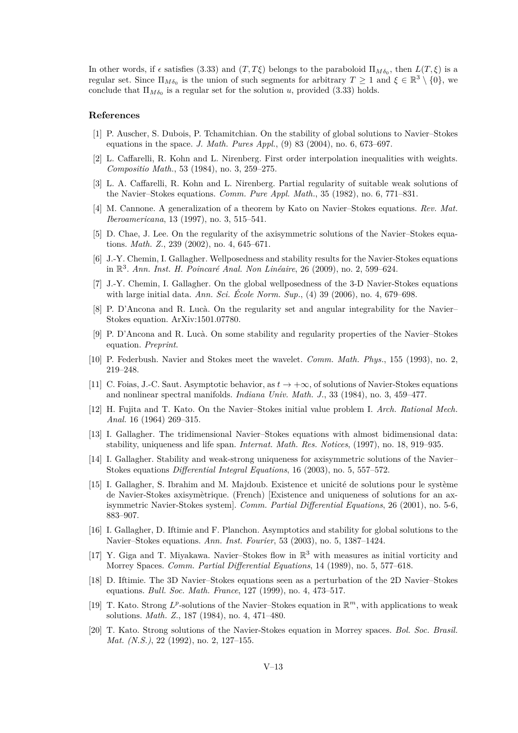In other words, if  $\epsilon$  satisfies [\(3.33\)](#page-12-5) and  $(T, T\xi)$  belongs to the paraboloid  $\Pi_{M\delta_0}$ , then  $L(T, \xi)$  is a regular set. Since  $\Pi_{M\delta_0}$  is the union of such segments for arbitrary  $T \geq 1$  and  $\xi \in \mathbb{R}^3 \setminus \{0\}$ , we conclude that  $\Pi_{M \delta_0}$  is a regular set for the solution *u*, provided [\(3.33\)](#page-12-5) holds.

#### **References**

- <span id="page-13-15"></span>[1] P. Auscher, S. Dubois, P. Tchamitchian. On the stability of global solutions to Navier–Stokes equations in the space. *J. Math. Pures Appl.*, (9) 83 (2004), no. 6, 673–697.
- <span id="page-13-19"></span>[2] L. Caffarelli, R. Kohn and L. Nirenberg. First order interpolation inequalities with weights. *Compositio Math.*, 53 (1984), no. 3, 259–275.
- <span id="page-13-16"></span>[3] L. A. Caffarelli, R. Kohn and L. Nirenberg. Partial regularity of suitable weak solutions of the Navier–Stokes equations. *Comm. Pure Appl. Math.*, 35 (1982), no. 6, 771–831.
- <span id="page-13-5"></span>[4] M. Cannone. A generalization of a theorem by Kato on Navier–Stokes equations. *Rev. Mat. Iberoamericana*, 13 (1997), no. 3, 515–541.
- <span id="page-13-6"></span>[5] D. Chae, J. Lee. On the regularity of the axisymmetric solutions of the Navier–Stokes equations. *Math. Z.*, 239 (2002), no. 4, 645–671.
- <span id="page-13-13"></span>[6] J.-Y. Chemin, I. Gallagher. Wellposedness and stability results for the Navier-Stokes equations in R 3 . *Ann. Inst. H. Poincaré Anal. Non Linéaire*, 26 (2009), no. 2, 599–624.
- <span id="page-13-12"></span>[7] J.-Y. Chemin, I. Gallagher. On the global wellposedness of the 3-D Navier-Stokes equations with large initial data. *Ann. Sci. École Norm. Sup.*, (4) 39 (2006), no. 4, 679–698.
- <span id="page-13-17"></span>[8] P. D'Ancona and R. Lucà. On the regularity set and angular integrability for the Navier– Stokes equation. ArXiv:1501.07780.
- <span id="page-13-18"></span>[9] P. D'Ancona and R. Lucà. On some stability and regularity properties of the Navier–Stokes equation. *Preprint*.
- <span id="page-13-4"></span>[10] P. Federbush. Navier and Stokes meet the wavelet. *Comm. Math. Phys.*, 155 (1993), no. 2, 219–248.
- <span id="page-13-9"></span>[11] C. Foias, J.-C. Saut. Asymptotic behavior, as *t* → +∞, of solutions of Navier-Stokes equations and nonlinear spectral manifolds. *Indiana Univ. Math. J.*, 33 (1984), no. 3, 459–477.
- <span id="page-13-0"></span>[12] H. Fujita and T. Kato. On the Navier–Stokes initial value problem I. *Arch. Rational Mech. Anal.* 16 (1964) 269–315.
- <span id="page-13-10"></span>[13] I. Gallagher. The tridimensional Navier–Stokes equations with almost bidimensional data: stability, uniqueness and life span. *Internat. Math. Res. Notices*, (1997), no. 18, 919–935.
- <span id="page-13-8"></span>[14] I. Gallagher. Stability and weak-strong uniqueness for axisymmetric solutions of the Navier– Stokes equations *Differential Integral Equations*, 16 (2003), no. 5, 557–572.
- <span id="page-13-7"></span>[15] I. Gallagher, S. Ibrahim and M. Majdoub. Existence et unicité de solutions pour le système de Navier-Stokes axisymètrique. (French) [Existence and uniqueness of solutions for an axisymmetric Navier-Stokes system]. *Comm. Partial Differential Equations*, 26 (2001), no. 5-6, 883–907.
- <span id="page-13-14"></span>[16] I. Gallagher, D. Iftimie and F. Planchon. Asymptotics and stability for global solutions to the Navier–Stokes equations. *Ann. Inst. Fourier*, 53 (2003), no. 5, 1387–1424.
- <span id="page-13-2"></span>[17] Y. Giga and T. Miyakawa. Navier–Stokes flow in  $\mathbb{R}^3$  with measures as initial vorticity and Morrey Spaces. *Comm. Partial Differential Equations*, 14 (1989), no. 5, 577–618.
- <span id="page-13-11"></span>[18] D. Iftimie. The 3D Navier–Stokes equations seen as a perturbation of the 2D Navier–Stokes equations. *Bull. Soc. Math. France*, 127 (1999), no. 4, 473–517.
- <span id="page-13-1"></span>[19] T. Kato. Strong  $L^p$ -solutions of the Navier–Stokes equation in  $\mathbb{R}^m$ , with applications to weak solutions. *Math. Z.*, 187 (1984), no. 4, 471–480.
- <span id="page-13-3"></span>[20] T. Kato. Strong solutions of the Navier-Stokes equation in Morrey spaces. *Bol. Soc. Brasil. Mat. (N.S.)*, 22 (1992), no. 2, 127–155.